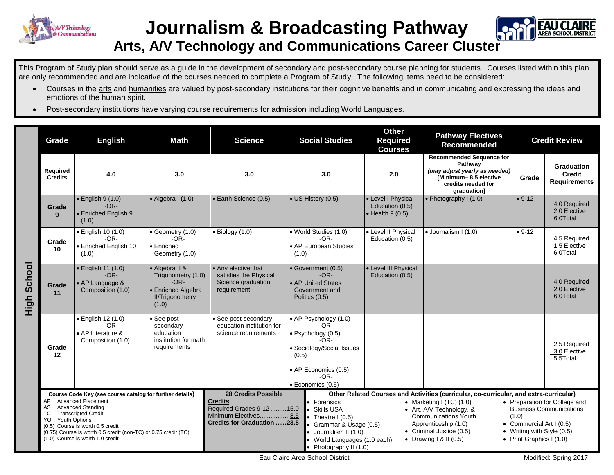

## **Journalism & Broadcasting Pathway**



## **Arts, A/V Technology and Communications Career Cluster**

This Program of Study plan should serve as a guide in the development of secondary and post-secondary course planning for students. Courses listed within this plan are only recommended and are indicative of the courses needed to complete a Program of Study. The following items need to be considered:

- Courses in the arts and humanities are valued by post-secondary institutions for their cognitive benefits and in communicating and expressing the ideas and emotions of the human spirit.
- Post-secondary institutions have varying course requirements for admission including World Languages.

|             | Grade                                                                                                                                                                                                                                                                  | <b>English</b>                                                         | <b>Math</b>                                                                                             | <b>Science</b>                                                                                                                                                                                                                                                                                                                                                                                                                                  | <b>Social Studies</b>                                                                                                                                      | <b>Other</b><br><b>Required</b><br><b>Courses</b>                                      | <b>Pathway Electives</b><br><b>Recommended</b>                                                                                            |                                                                                                                                                                | <b>Credit Review</b>                                      |
|-------------|------------------------------------------------------------------------------------------------------------------------------------------------------------------------------------------------------------------------------------------------------------------------|------------------------------------------------------------------------|---------------------------------------------------------------------------------------------------------|-------------------------------------------------------------------------------------------------------------------------------------------------------------------------------------------------------------------------------------------------------------------------------------------------------------------------------------------------------------------------------------------------------------------------------------------------|------------------------------------------------------------------------------------------------------------------------------------------------------------|----------------------------------------------------------------------------------------|-------------------------------------------------------------------------------------------------------------------------------------------|----------------------------------------------------------------------------------------------------------------------------------------------------------------|-----------------------------------------------------------|
| High School | Required<br><b>Credits</b>                                                                                                                                                                                                                                             | 4.0                                                                    | 3.0                                                                                                     | 3.0                                                                                                                                                                                                                                                                                                                                                                                                                                             | 3.0                                                                                                                                                        | 2.0                                                                                    | <b>Recommended Sequence for</b><br>Pathway<br>(may adjust yearly as needed)<br>[Minimum-8.5 elective<br>credits needed for<br>graduation] | Grade                                                                                                                                                          | <b>Graduation</b><br><b>Credit</b><br><b>Requirements</b> |
|             | Grade<br>9                                                                                                                                                                                                                                                             | $\bullet$ English 9 (1.0)<br>$-OR-$<br>• Enriched English 9<br>(1.0)   | $\bullet$ Algebra I (1.0)                                                                               | • Earth Science (0.5)                                                                                                                                                                                                                                                                                                                                                                                                                           | • US History (0.5)                                                                                                                                         | • Level I Physical<br>Education (0.5)<br>$\bullet$ Health 9 (0.5)                      | • Photography I (1.0)                                                                                                                     | $• 9-12$                                                                                                                                                       | 4.0 Required<br>2.0 Elective<br>6.0Total                  |
|             | Grade<br>10                                                                                                                                                                                                                                                            | · English 10 (1.0)<br>$-OR-$<br>• Enriched English 10<br>(1.0)         | $\bullet$ Geometry (1.0)<br>$-OR-$<br>$\bullet$ Enriched<br>Geometry (1.0)                              | $\bullet$ Biology (1.0)                                                                                                                                                                                                                                                                                                                                                                                                                         | • World Studies (1.0)<br>$-OR-$<br>• AP European Studies<br>(1.0)                                                                                          | • Level II Physical<br>Education (0.5)                                                 | · Journalism I (1.0)                                                                                                                      | $• 9-12$                                                                                                                                                       | 4.5 Required<br>1.5 Elective<br>6.0Total                  |
|             | Grade<br>11                                                                                                                                                                                                                                                            | · English 11 (1.0)<br>$-OR-$<br>• AP Language &<br>Composition (1.0)   | • Algebra II &<br>Trigonometry (1.0)<br>$-OR-$<br>• Enriched Algebra<br><b>II/Trigonometry</b><br>(1.0) | • Any elective that<br>satisfies the Physical<br>Science graduation<br>requirement                                                                                                                                                                                                                                                                                                                                                              | • Government (0.5)<br>$-OR-$<br>• AP United States<br>Government and<br>Politics (0.5)                                                                     | • Level III Physical<br>Education (0.5)                                                |                                                                                                                                           |                                                                                                                                                                | 4.0 Required<br>2.0 Elective<br>6.0Total                  |
|             | Grade<br>12                                                                                                                                                                                                                                                            | · English 12 (1.0)<br>$-OR-$<br>• AP Literature &<br>Composition (1.0) | • See post-<br>secondary<br>education<br>institution for math<br>requirements                           | See post-secondary<br>education institution for<br>science requirements                                                                                                                                                                                                                                                                                                                                                                         | • AP Psychology (1.0)<br>$-OR-$<br>· Psychology (0.5)<br>-OR-<br>· Sociology/Social Issues<br>(0.5)<br>• AP Economics (0.5)<br>$-OR-$<br>· Economics (0.5) |                                                                                        |                                                                                                                                           |                                                                                                                                                                | 2.5 Required<br>3.0 Elective<br>5.5Total                  |
|             | 28 Credits Possible<br>Course Code Key (see course catalog for further details)                                                                                                                                                                                        |                                                                        |                                                                                                         |                                                                                                                                                                                                                                                                                                                                                                                                                                                 |                                                                                                                                                            | Other Related Courses and Activities (curricular, co-curricular, and extra-curricular) |                                                                                                                                           |                                                                                                                                                                |                                                           |
|             | <b>Advanced Placement</b><br>AP<br><b>Advanced Standing</b><br>AS<br><b>Transcripted Credit</b><br>тс<br>Youth Options<br>YO<br>(0.5) Course is worth 0.5 credit<br>(0.75) Course is worth 0.5 credit (non-TC) or 0.75 credit (TC)<br>(1.0) Course is worth 1.0 credit |                                                                        |                                                                                                         | <b>Credits</b><br>• Forensics<br>• Marketing I (TC) $(1.0)$<br>Required Grades 9-12 15.0<br><b>Skills USA</b><br>• Art, A/V Technology, &<br>Minimum Electives8.5<br><b>Communications Youth</b><br>Theatre $1(0.5)$<br><b>Credits for Graduation 23.5</b><br>Apprenticeship (1.0)<br>Grammar & Usage (0.5)<br>• Criminal Justice (0.5)<br>Journalism II (1.0)<br>• Drawing $1 & 1 (0.5)$<br>World Languages (1.0 each)<br>Photography II (1.0) |                                                                                                                                                            |                                                                                        |                                                                                                                                           | • Preparation for College and<br><b>Business Communications</b><br>(1.0)<br>• Commercial Art I (0.5)<br>• Writing with Style (0.5)<br>• Print Graphics I (1.0) |                                                           |